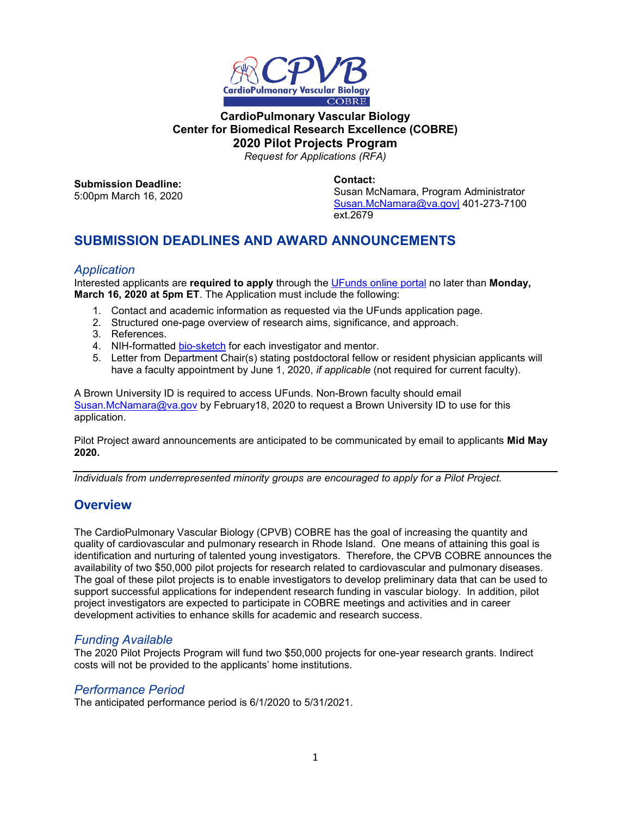

# **CardioPulmonary Vascular Biology Center for Biomedical Research Excellence (COBRE) 2020 Pilot Projects Program**

*Request for Applications (RFA)*

**Submission Deadline:** 5:00pm March 16, 2020 **Contact:** Susan McNamara, Program Administrator [Susan.McNamara@va.gov|](mailto:Susan.McNamara@va.gov%7C) 401-273-7100 ext.2679

# **SUBMISSION DEADLINES AND AWARD ANNOUNCEMENTS**

#### *Application*

Interested applicants are **required to apply** through the [UFunds online portal](https://ufunds.brown.edu/) no later than **Monday, March 16, 2020 at 5pm ET**. The Application must include the following:

- 1. Contact and academic information as requested via the UFunds application page.
- 2. Structured one-page overview of research aims, significance, and approach.
- 3. References.
- 4. NIH-formatted [bio-sketch](http://grants.nih.gov/grants/forms/biosketch.htm) for each investigator and mentor.
- 5. Letter from Department Chair(s) stating postdoctoral fellow or resident physician applicants will have a faculty appointment by June 1, 2020, *if applicable* (not required for current faculty).

A Brown University ID is required to access UFunds. Non-Brown faculty should email [Susan.McNamara@va.gov](mailto:Susan.McNamara@va.gov) by February18, 2020 to request a Brown University ID to use for this application.

Pilot Project award announcements are anticipated to be communicated by email to applicants **Mid May 2020.**

*Individuals from underrepresented minority groups are encouraged to apply for a Pilot Project.*

# **Overview**

The CardioPulmonary Vascular Biology (CPVB) COBRE has the goal of increasing the quantity and quality of cardiovascular and pulmonary research in Rhode Island. One means of attaining this goal is identification and nurturing of talented young investigators. Therefore, the CPVB COBRE announces the availability of two \$50,000 pilot projects for research related to cardiovascular and pulmonary diseases. The goal of these pilot projects is to enable investigators to develop preliminary data that can be used to support successful applications for independent research funding in vascular biology. In addition, pilot project investigators are expected to participate in COBRE meetings and activities and in career development activities to enhance skills for academic and research success.

## *Funding Available*

The 2020 Pilot Projects Program will fund two \$50,000 projects for one-year research grants. Indirect costs will not be provided to the applicants' home institutions.

## *Performance Period*

The anticipated performance period is 6/1/2020 to 5/31/2021.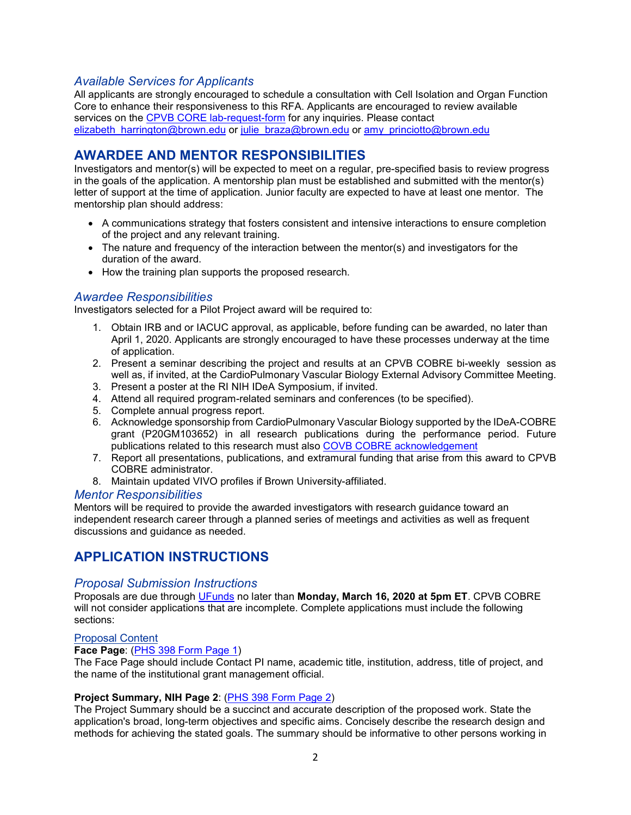# *Available Services for Applicants*

All applicants are strongly encouraged to schedule a consultation with Cell Isolation and Organ Function Core to enhance their responsiveness to this RFA. Applicants are encouraged to review available services on the [CPVB CORE lab-request-form](https://cpvb.org/lab-core/lab-request-form/) for any inquiries. Please contact [elizabeth\\_harrington@brown.edu](mailto:elizabeth_harrington@brown.edu) or [julie\\_braza@brown.edu](mailto:julie_braza@brown.edu) or [amy\\_princiotto@brown.edu](mailto:amy_princiotto@brown.edu)

# **AWARDEE AND MENTOR RESPONSIBILITIES**

Investigators and mentor(s) will be expected to meet on a regular, pre-specified basis to review progress in the goals of the application. A mentorship plan must be established and submitted with the mentor(s) letter of support at the time of application. Junior faculty are expected to have at least one mentor. The mentorship plan should address:

- A communications strategy that fosters consistent and intensive interactions to ensure completion of the project and any relevant training.
- The nature and frequency of the interaction between the mentor(s) and investigators for the duration of the award.
- How the training plan supports the proposed research.

## <span id="page-1-0"></span>*Awardee Responsibilities*

Investigators selected for a Pilot Project award will be required to:

- 1. Obtain IRB and or IACUC approval, as applicable, before funding can be awarded, no later than April 1, 2020. Applicants are strongly encouraged to have these processes underway at the time of application.
- 2. Present a seminar describing the project and results at an CPVB COBRE bi-weekly session as well as, if invited, at the CardioPulmonary Vascular Biology External Advisory Committee Meeting.
- 3. Present a poster at the RI NIH IDeA Symposium, if invited.
- 4. Attend all required program-related seminars and conferences (to be specified).
- 5. Complete annual progress report.
- 6. Acknowledge sponsorship from CardioPulmonary Vascular Biology supported by the IDeA-COBRE grant (P20GM103652) in all research publications during the performance period. Future publications related to this research must also [COVB COBRE acknowledgement](https://cpvb.org/acknowledgement/)
- 7. Report all presentations, publications, and extramural funding that arise from this award to CPVB COBRE administrator.
- 8. Maintain updated VIVO profiles if Brown University-affiliated.

#### *Mentor Responsibilities*

Mentors will be required to provide the awarded investigators with research guidance toward an independent research career through a planned series of meetings and activities as well as frequent discussions and guidance as needed.

# **APPLICATION INSTRUCTIONS**

#### *Proposal Submission Instructions*

Proposals are due through [UFunds](https://ufunds.brown.edu/) no later than **Monday, March 16, 2020 at 5pm ET**. CPVB COBRE will not consider applications that are incomplete. Complete applications must include the following sections:

#### Proposal Content

#### **Face Page**: [\(PHS 398 Form Page 1\)](https://grants.nih.gov/grants/funding/phs398/fp1.pdf)

The Face Page should include Contact PI name, academic title, institution, address, title of project, and the name of the institutional grant management official.

#### **Project Summary, NIH Page 2**: [\(PHS 398 Form Page 2\)](https://grants.nih.gov/grants/funding/phs398/fp2.pdf)

The Project Summary should be a succinct and accurate description of the proposed work. State the application's broad, long-term objectives and specific aims. Concisely describe the research design and methods for achieving the stated goals. The summary should be informative to other persons working in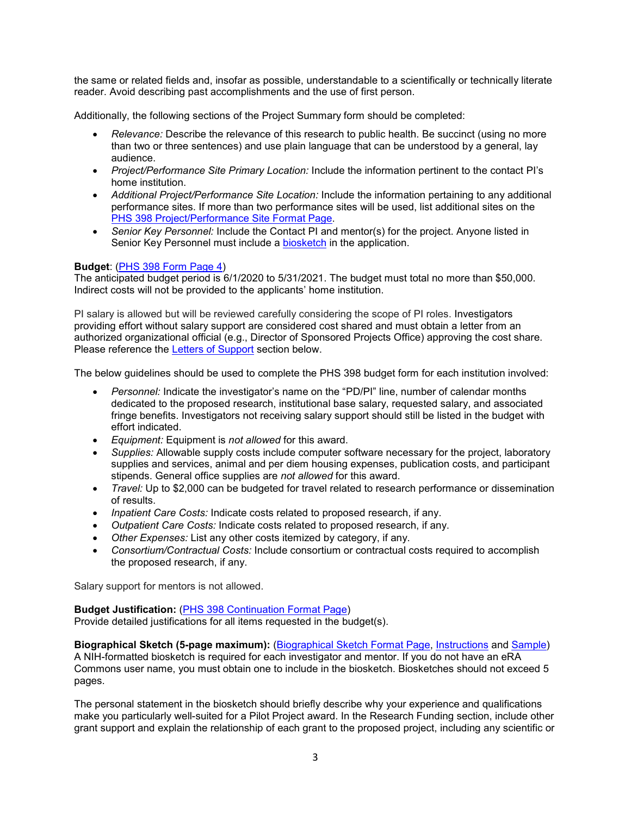the same or related fields and, insofar as possible, understandable to a scientifically or technically literate reader. Avoid describing past accomplishments and the use of first person.

Additionally, the following sections of the Project Summary form should be completed:

- *Relevance:* Describe the relevance of this research to public health. Be succinct (using no more than two or three sentences) and use plain language that can be understood by a general, lay audience.
- *Project/Performance Site Primary Location:* Include the information pertinent to the contact PI's home institution.
- *Additional Project/Performance Site Location:* Include the information pertaining to any additional performance sites. If more than two performance sites will be used, list additional sites on the [PHS 398 Project/Performance Site Format Page.](https://grants.nih.gov/grants/funding/phs398/performancesites.pdf)
- *Senior Key Personnel:* Include the Contact PI and mentor(s) for the project. Anyone listed in Senior Key Personnel must include a [biosketch](https://grants.nih.gov/grants/forms/biosketch-blankformat.docx) in the application.

#### **Budget**: [\(PHS 398 Form Page 4\)](https://grants.nih.gov/grants/funding/phs398/fp4.pdf)

The anticipated budget period is 6/1/2020 to 5/31/2021. The budget must total no more than \$50,000. Indirect costs will not be provided to the applicants' home institution.

PI salary is allowed but will be reviewed carefully considering the scope of PI roles. Investigators providing effort without salary support are considered cost shared and must obtain a letter from an authorized organizational official (e.g., Director of Sponsored Projects Office) approving the cost share. Please reference the [Letters of Support](#page-4-0) section below.

The below guidelines should be used to complete the PHS 398 budget form for each institution involved:

- *Personnel:* Indicate the investigator's name on the "PD/PI" line, number of calendar months dedicated to the proposed research, institutional base salary, requested salary, and associated fringe benefits. Investigators not receiving salary support should still be listed in the budget with effort indicated.
- *Equipment:* Equipment is *not allowed* for this award.
- *Supplies:* Allowable supply costs include computer software necessary for the project, laboratory supplies and services, animal and per diem housing expenses, publication costs, and participant stipends. General office supplies are *not allowed* for this award.
- *Travel:* Up to \$2,000 can be budgeted for travel related to research performance or dissemination of results.
- *Inpatient Care Costs:* Indicate costs related to proposed research, if any.
- *Outpatient Care Costs:* Indicate costs related to proposed research, if any.
- *Other Expenses:* List any other costs itemized by category, if any.
- *Consortium/Contractual Costs:* Include consortium or contractual costs required to accomplish the proposed research, if any.

Salary support for mentors is not allowed.

#### **Budget Justification:** [\(PHS 398 Continuation Format Page\)](https://grants.nih.gov/grants/funding/phs398/398_continuation.docx)

Provide detailed justifications for all items requested in the budget(s).

**Biographical Sketch (5-page maximum):** [\(Biographical Sketch Format Page,](https://grants.nih.gov/grants/forms/biosketch-blankformat.docx) [Instructions](https://grants.nih.gov/grants/how-to-apply-application-guide/forms-e/general/g.240-r&r-seniorkey-person-profile-(expanded)-form.htm#Instructions) and [Sample\)](http://grants.nih.gov/grants/forms/biosketch-sample.docx) A NIH-formatted biosketch is required for each investigator and mentor. If you do not have an eRA Commons user name, you must obtain one to include in the biosketch. Biosketches should not exceed 5 pages.

The personal statement in the biosketch should briefly describe why your experience and qualifications make you particularly well-suited for a Pilot Project award. In the Research Funding section, include other grant support and explain the relationship of each grant to the proposed project, including any scientific or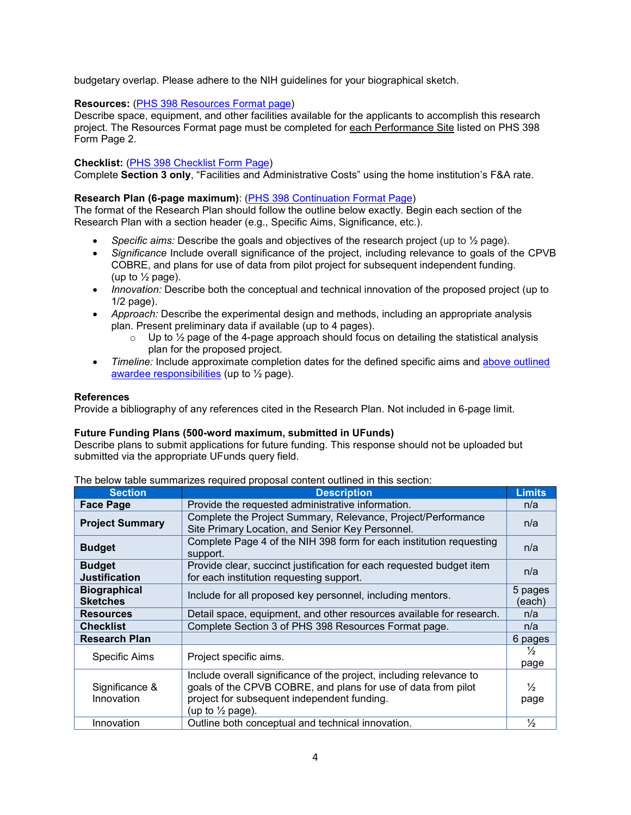budgetary overlap. Please adhere to the NIH guidelines for your biographical sketch.

### **Resources:** [\(PHS 398 Resources](https://grants.nih.gov/grants/funding/phs398/398_resources.docx) Format page)

Describe space, equipment, and other facilities available for the applicants to accomplish this research project. The Resources Format page must be completed for each Performance Site listed on PHS 398 Form Page 2.

#### **Checklist:** [\(PHS 398 Checklist Form Page\)](https://grants.nih.gov/grants/funding/phs398/checklist.pdf)

Complete **Section 3 only**, "Facilities and Administrative Costs" using the home institution's F&A rate.

#### **Research Plan (6-page maximum)**: [\(PHS 398 Continuation Format Page\)](https://grants.nih.gov/grants/funding/phs398/398_continuation.docx)

The format of the Research Plan should follow the outline below exactly. Begin each section of the Research Plan with a section header (e.g., Specific Aims, Significance, etc.).

- *Specific aims:* Describe the goals and objectives of the research project (up to ½ page).
- *Significance* Include overall significance of the project, including relevance to goals of the CPVB COBRE, and plans for use of data from pilot project for subsequent independent funding. (up to  $\frac{1}{2}$  page).
- *Innovation:* Describe both the conceptual and technical innovation of the proposed project (up to 1/2 page).
- *Approach:* Describe the experimental design and methods, including an appropriate analysis plan. Present preliminary data if available (up to 4 pages).
	- $\circ$  Up to  $\frac{1}{2}$  page of the 4-page approach should focus on detailing the statistical analysis plan for the proposed project.
- Timeline: Include approximate completion dates for the defined specific aims and above outlined [awardee responsibilities](#page-1-0) (up to 1/2 page).

#### **References**

Provide a bibliography of any references cited in the Research Plan. Not included in 6-page limit.

#### **Future Funding Plans (500-word maximum, submitted in UFunds)**

Describe plans to submit applications for future funding. This response should not be uploaded but submitted via the appropriate UFunds query field.

The below table summarizes required proposal content outlined in this section:

| <b>Section</b>                         | -1-1-1-1-1-<br><b>Description</b>                                                                                                                                                                                  | <b>Limits</b>         |
|----------------------------------------|--------------------------------------------------------------------------------------------------------------------------------------------------------------------------------------------------------------------|-----------------------|
| <b>Face Page</b>                       | Provide the requested administrative information.                                                                                                                                                                  | n/a                   |
| <b>Project Summary</b>                 | Complete the Project Summary, Relevance, Project/Performance<br>Site Primary Location, and Senior Key Personnel.                                                                                                   | n/a                   |
| <b>Budget</b>                          | Complete Page 4 of the NIH 398 form for each institution requesting<br>support.                                                                                                                                    | n/a                   |
| <b>Budget</b><br><b>Justification</b>  | Provide clear, succinct justification for each requested budget item<br>for each institution requesting support.                                                                                                   | n/a                   |
| <b>Biographical</b><br><b>Sketches</b> | Include for all proposed key personnel, including mentors.                                                                                                                                                         | 5 pages<br>(each)     |
| <b>Resources</b>                       | Detail space, equipment, and other resources available for research.                                                                                                                                               | n/a                   |
| <b>Checklist</b>                       | Complete Section 3 of PHS 398 Resources Format page.                                                                                                                                                               | n/a                   |
| <b>Research Plan</b>                   |                                                                                                                                                                                                                    | 6 pages               |
| Specific Aims                          | Project specific aims.                                                                                                                                                                                             | $\frac{1}{2}$         |
|                                        |                                                                                                                                                                                                                    | page                  |
| Significance &<br>Innovation           | Include overall significance of the project, including relevance to<br>goals of the CPVB COBRE, and plans for use of data from pilot<br>project for subsequent independent funding.<br>(up to $\frac{1}{2}$ page). | $\frac{1}{2}$<br>page |
| Innovation                             | Outline both conceptual and technical innovation.                                                                                                                                                                  | $\frac{1}{2}$         |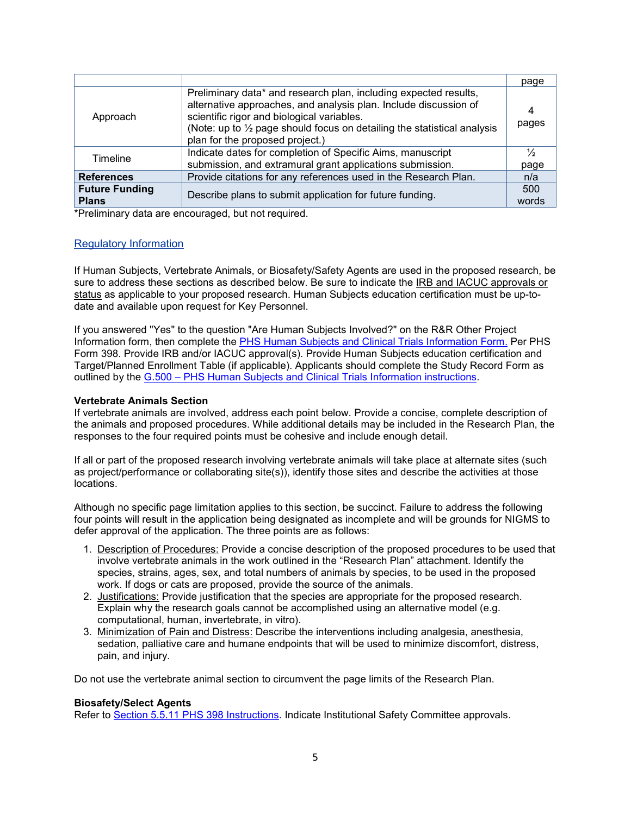<span id="page-4-0"></span>

|                                       |                                                                                                                                                                                                                                                                                                             | page          |
|---------------------------------------|-------------------------------------------------------------------------------------------------------------------------------------------------------------------------------------------------------------------------------------------------------------------------------------------------------------|---------------|
| Approach                              | Preliminary data* and research plan, including expected results,<br>alternative approaches, and analysis plan. Include discussion of<br>scientific rigor and biological variables.<br>(Note: up to $\frac{1}{2}$ page should focus on detailing the statistical analysis<br>plan for the proposed project.) | pages         |
| Timeline                              | Indicate dates for completion of Specific Aims, manuscript                                                                                                                                                                                                                                                  | $\frac{1}{2}$ |
|                                       | submission, and extramural grant applications submission.                                                                                                                                                                                                                                                   | page          |
| <b>References</b>                     | Provide citations for any references used in the Research Plan.                                                                                                                                                                                                                                             | n/a           |
| <b>Future Funding</b><br><b>Plans</b> | Describe plans to submit application for future funding.                                                                                                                                                                                                                                                    | 500<br>words  |
|                                       |                                                                                                                                                                                                                                                                                                             |               |

\*Preliminary data are encouraged, but not required.

#### Regulatory Information

If Human Subjects, Vertebrate Animals, or Biosafety/Safety Agents are used in the proposed research, be sure to address these sections as described below. Be sure to indicate the IRB and IACUC approvals or status as applicable to your proposed research. Human Subjects education certification must be up-todate and available upon request for Key Personnel.

If you answered "Yes" to the question "Are Human Subjects Involved?" on the R&R Other Project Information form, then complete the [PHS Human Subjects and Clinical Trials Information Form.](https://www.grants.gov/web/grants/forms/r-r-family.html) Per PHS Form 398. Provide IRB and/or IACUC approval(s). Provide Human Subjects education certification and Target/Planned Enrollment Table (if applicable). Applicants should complete the Study Record Form as outlined by the G.500 – [PHS Human Subjects and Clinical Trials Information instructions.](https://grants.nih.gov/grants/how-to-apply-application-guide/forms-e/general/g.500-phs-human-subjects-and-clinical-trials-information.htm)

#### **Vertebrate Animals Section**

If vertebrate animals are involved, address each point below. Provide a concise, complete description of the animals and proposed procedures. While additional details may be included in the Research Plan, the responses to the four required points must be cohesive and include enough detail.

If all or part of the proposed research involving vertebrate animals will take place at alternate sites (such as project/performance or collaborating site(s)), identify those sites and describe the activities at those locations.

Although no specific page limitation applies to this section, be succinct. Failure to address the following four points will result in the application being designated as incomplete and will be grounds for NIGMS to defer approval of the application. The three points are as follows:

- 1. Description of Procedures: Provide a concise description of the proposed procedures to be used that involve vertebrate animals in the work outlined in the "Research Plan" attachment. Identify the species, strains, ages, sex, and total numbers of animals by species, to be used in the proposed work. If dogs or cats are proposed, provide the source of the animals.
- 2. Justifications: Provide justification that the species are appropriate for the proposed research. Explain why the research goals cannot be accomplished using an alternative model (e.g. computational, human, invertebrate, in vitro).
- 3. Minimization of Pain and Distress: Describe the interventions including analgesia, anesthesia, sedation, palliative care and humane endpoints that will be used to minimize discomfort, distress, pain, and injury.

Do not use the vertebrate animal section to circumvent the page limits of the Research Plan.

#### **Biosafety/Select Agents**

Refer to [Section 5.5.11 PHS 398 Instructions.](https://grants.nih.gov/grants/funding/phs398/phs398.pdf) Indicate Institutional Safety Committee approvals.